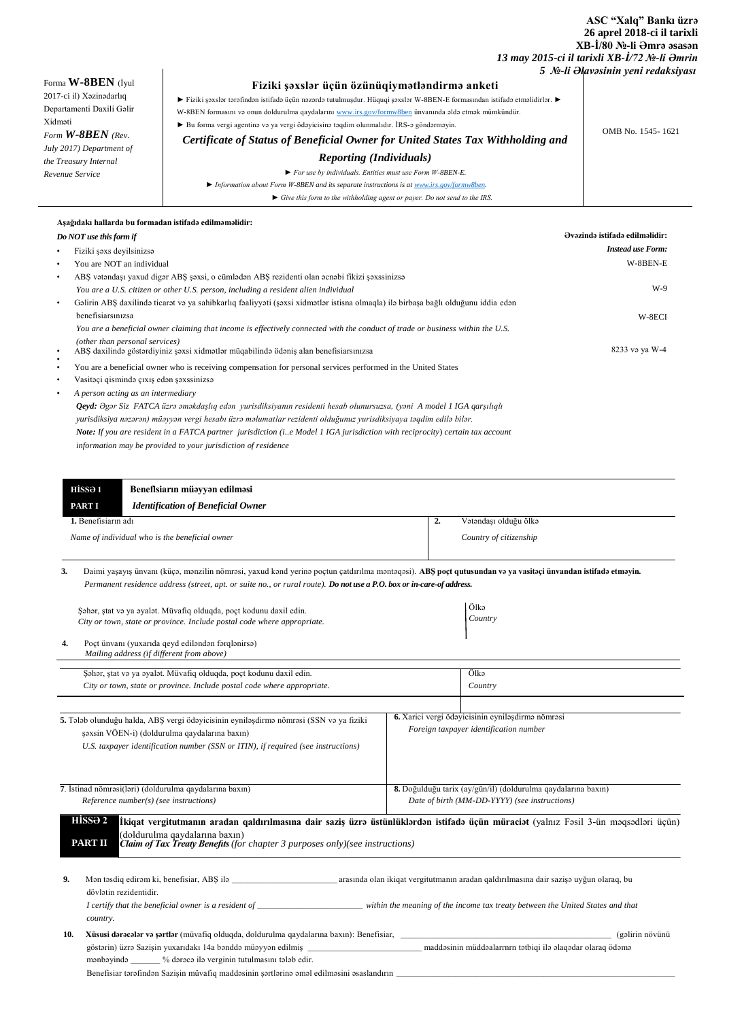## **ASC "Xalq" Bankı üzrə 26 aprel 2018-ci il tarixli XB-İ/80 №-li Əmrə əsasən**   *13 may 2015-ci il tarixli XB-İ/72 №-li Əmrin*

|                           |                                                                                                                             | 5 No-li Əlavəsinin yeni redaksiyası |
|---------------------------|-----------------------------------------------------------------------------------------------------------------------------|-------------------------------------|
| Forma $W$ -8BEN (Iyul     | Fiziki şəxslər üçün özünüqiymətləndirmə anketi                                                                              |                                     |
| 2017-ci il) Xəzinədarlıq  | ► Fiziki şəxslər tərəfindən istifadə üçün nəzərdə tutulmuşdur. Hüquqi şəxslər W-8BEN-E formasından istifadə etməlidirlər. ► |                                     |
| Departamenti Daxili Galir | W-8BEN formasını və onun doldurulma qaydalarını www.irs.gov/formw8ben ünvanında əldə etmək mümkündür.                       |                                     |
| Xidməti                   | $\triangleright$ Bu forma vergi agentinə və ya vergi ödəyicisinə təqdim olunmalıdır. İRS-ə göndərməyin.                     |                                     |
| Form $W-8BEN$ (Rev.       | Certificate of Status of Beneficial Owner for United States Tax Withholding and                                             | OMB No. 1545-1621                   |
| July 2017) Department of  |                                                                                                                             |                                     |
| the Treasury Internal     | <b>Reporting (Individuals)</b>                                                                                              |                                     |
| Revenue Service           | $\triangleright$ For use by individuals. Entities must use Form W-8BEN-E.                                                   |                                     |
|                           | $\blacktriangleright$ Information about Form W-8BEN and its separate instructions is at www.irs.gov/formw8ben.              |                                     |
|                           | $\triangleright$ Give this form to the withholding agent or payer. Do not send to the IRS.                                  |                                     |

|                        | Aşağıdakı hallarda bu formadan istifadə edilməməlidir:                                                                               |                          |
|------------------------|--------------------------------------------------------------------------------------------------------------------------------------|--------------------------|
|                        | Ovazinda istifada edilməlidir:<br>Do NOT use this form if                                                                            |                          |
| $\bullet$              | Fiziki şəxs deyilsinizsə                                                                                                             | <b>Instead use Form:</b> |
| $\bullet$              | You are NOT an individual                                                                                                            | W-8BEN-E                 |
| $\bullet$              | ABŞ vətəndaşı yaxud digər ABŞ şəxsi, o cümlədən ABŞ rezidenti olan əcnəbi fikizi şəxssinizsə                                         |                          |
|                        | You are a U.S. citizen or other U.S. person, including a resident alien individual                                                   | W-9                      |
| $\bullet$              | Gəlirin ABŞ daxilində ticarət və ya sahibkarlıq fəaliyyəti (şəxsi xidmətlər istisna olmaqla) ilə birbaşa bağlı olduğunu iddia edən   |                          |
|                        | benefisiarsmizsa                                                                                                                     | W-8ECI                   |
|                        | You are a beneficial owner claiming that income is effectively connected with the conduct of trade or business within the U.S.       |                          |
| $\bullet$<br>$\bullet$ | (other than personal services)<br>ABŞ daxilində göstərdiyiniz şəxsi xidmətlər müqabilində ödəniş alan benefisiarsınızsa              | 8233 və ya W-4           |
| ٠                      | You are a beneficial owner who is receiving compensation for personal services performed in the United States                        |                          |
| $\bullet$              | Vasitəçi qismində çıxış edən şəxssinizsə                                                                                             |                          |
| ٠                      | A person acting as an intermediary                                                                                                   |                          |
|                        | Qeyd: Əgər Siz FATCA üzrə əməkdaşlıq edən yurisdiksiyanın residenti hesab olunursuzsa, (yəni A model 1 IGA qarşılıqlı                |                          |
|                        | yurisdiksiya nəzərən) müəyyən vergi hesabı üzrə məlumatlar rezidenti olduğunuz yurisdiksiyaya təqdim edilə bilər.                    |                          |
|                        | <b>Note:</b> If you are resident in a FATCA partner jurisdiction (i.e Model 1 IGA jurisdiction with reciprocity) certain tax account |                          |
|                        | information may be provided to your jurisdiction of residence                                                                        |                          |
|                        |                                                                                                                                      |                          |
|                        |                                                                                                                                      |                          |

| HISSƏ 1                                        | Beneflsiarın müəyyən edilməsi             |    |                        |
|------------------------------------------------|-------------------------------------------|----|------------------------|
| <b>PARTI</b>                                   | <b>Identification of Beneficial Owner</b> |    |                        |
| 1. Benefisiarın adı                            |                                           | ∸. | Vətəndası olduğu ölkə  |
| Name of individual who is the beneficial owner |                                           |    | Country of citizenship |

**3.** Daimi yaşayış ünvanı (küçə, mənzilin nömrəsi, yaxud kənd yerinə poçtun çatdırılma məntəqəsi). **ABŞ poçt qutusundan və ya vasitəçi ünvandan istifadə etməyin.** *Permanent residence address (street, apt. or suite no., or rural route). Do not use a P.O. box or in-care-of address.*

| Səhər, stat və ya əyalət. Müvafiq olduqda, poct kodunu daxil edin.<br>City or town, state or province. Include postal code where appropriate. |                                                                                                                                                                                                                                                                                            | Ölkə<br>Country                                                                                                |  |
|-----------------------------------------------------------------------------------------------------------------------------------------------|--------------------------------------------------------------------------------------------------------------------------------------------------------------------------------------------------------------------------------------------------------------------------------------------|----------------------------------------------------------------------------------------------------------------|--|
| 4.                                                                                                                                            | Poçt ünvanı (yuxarıda qeyd ediləndən fərqlənirsə)<br>Mailing address (if different from above)                                                                                                                                                                                             |                                                                                                                |  |
|                                                                                                                                               | Sahar, stat və ya əyalət. Müvafiq olduqda, poçt kodunu daxil edin.                                                                                                                                                                                                                         | Ölkə                                                                                                           |  |
|                                                                                                                                               | City or town, state or province. Include postal code where appropriate.                                                                                                                                                                                                                    | Country                                                                                                        |  |
|                                                                                                                                               | 5. Talab olunduğu halda, ABŞ vergi ödəyicisinin eyniləşdirmə nömrəsi (SSN və ya fiziki<br>şəxsin VÖEN-i) (doldurulma qaydalarına baxın)<br>U.S. taxpayer identification number (SSN or ITIN), if required (see instructions)                                                               | 6. Xarici vergi ödəyicisinin eyniləşdirmə nömrəsi<br>Foreign taxpayer identification number                    |  |
|                                                                                                                                               | 7. İstinad nömrəsi(ləri) (doldurulma qaydalarına baxın)<br>Reference number(s) (see instructions)                                                                                                                                                                                          | 8. Doğulduğu tarix (ay/gün/il) (doldurulma qaydalarına baxın)<br>Date of birth (MM-DD-YYYY) (see instructions) |  |
|                                                                                                                                               | HÍSSƏ 2<br>İkiqat vergitutmanın aradan qaldırılmasına dair saziş üzrə üstünlüklərdən istifadə üçün müraciət (yalnız Fəsil 3-ün məqsədləri üçün)<br>(doldurulma qaydalarına baxın)<br><b>PART II</b><br><b>Claim of Tax Treaty Benefits</b> (for chapter 3 purposes only)(see instructions) |                                                                                                                |  |
| 9.                                                                                                                                            | dövlətin rezidentidir.<br>country.                                                                                                                                                                                                                                                         |                                                                                                                |  |
| 10.                                                                                                                                           | mənbəyində ______ % dərəcə ilə verginin tutulmasını tələb edir.                                                                                                                                                                                                                            | (gəlirin növünü<br>maddəsinin müddəalarrnrn tətbiqi ilə əlaqədar olaraq ödəmə                                  |  |